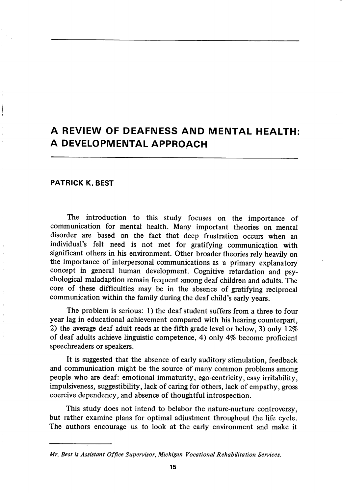# A REVIEW OF DEAFNESS AND MENTAL HEALTH: A DEVELOPMENTAL APPROACH

#### PATRICK K. BEST

The introduction to this study focuses on the importance of communication for mental health. Many important theories on mental disorder are based on the fact that deep frustration occurs when an individual's felt need is not met for gratifying communication with significant others in his environment. Other broader theories rely heavily on the importance of interpersonal communications as a primary explanatory concept in general human development. Cognitive retardation and psy chological maladaption remain frequent among deaf children and adults. The core of these difficulties may be in the absence of gratifying reciprocal commimication within the family during the deaf child's early years.

The problem is serious: 1) the deaf student suffers from a three to four year lag in educational achievement compared with his hearing counterpart, 2) the average deaf adult reads at the fifth grade level or below, 3) only 12% of deaf adults achieve linguistic competence, 4) only 4% become proficient speechreaders or speakers.

It is suggested that the absence of early auditory stimulation, feedback and communication might be the source of many common problems among people who are deaf: emotional immaturity, ego-centricity, easy irritability, impulsiveness, suggestibility, lack of caring for others, lack of empathy, gross coercive dependency, and absence of thoughtful introspection.

This study does not intend to belabor the nature-nurture controversy, but rather examine plans for optimal adjustment throughout the life cycle. The authors encourage us to look at the early environment and make it

Mr, Best is Assistant Office Supervisor, Michigan Vocational Rehabilitation Services,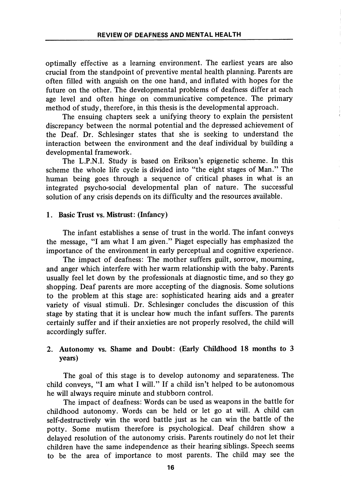optimally effective as a learning environment. The earliest years are also crucial from the standpoint of preventive mental health planning. Parents are often filled with anguish on the one hand, and inflated with hopes for the future on the other. The developmental problems of deafness differ at each age level and often hinge on communicative competence. The primary method of study, therefore, in this thesis is the developmental approach.

The ensuing chapters seek a unifying theory to explain the persistent discrepancy between the normal potential and the depressed achievement of the Deaf. Dr. Schlesinger states that she is seeking to understand the interaction between the environment and the deaf individual by building a developmental framework.

The L.P.N.I. Study is based on Erikson's epigenetic scheme. In this scheme the whole life cycle is divided into "the eight stages of Man." The human being goes through a sequence of critical phases in what is an integrated psycho-social developmental plan of nature. The successful solution of any crisis depends on its difficulty and the resources available.

### 1. Basic Trust vs. Mistrust: (Infancy)

The infant establishes a sense of trust in the world. The infant conveys the message, "I am what I am given." Piaget especially has emphasized the importance of the environment in early perceptual and cognitive experience.

The impact of deafness: The mother suffers guilt, sorrow, mourning, and anger which interfere with her warm relationship with the baby. Parents usually feel let down by the professionals at diagnostic time, and so they go shopping. Deaf parents are more accepting of the diagnosis. Some solutions to the problem at this stage are: sophisticated hearing aids and a greater variety of visual stimuli. Dr. Schlesinger concludes the discussion of this stage by stating that it is unclear how much the infant suffers. The parents certainly suffer and if their anxieties are not properly resolved, the child will accordingly suffer.

# 2. Autonomy vs. Shame and Doubt: (Early Childhood 18 months to 3 years)

The goal of this stage is to develop autonomy and separateness. The child conveys, "I am what I will." If a child isn't helped to be autonomous he will always require minute and stubborn control.

The impact of deafness: Words can be used as weapons in the battle for childhood autonomy. Words can be held or let go at will. A child can self-destructively win the word battle just as he can win the battle of the potty. Some mutism therefore is psychological. Deaf children show a delayed resolution of the autonomy crisis. Parents routinely do not let their children have the same independence as their hearing siblings. Speech seems to be the area of importance to most parents. The child may see the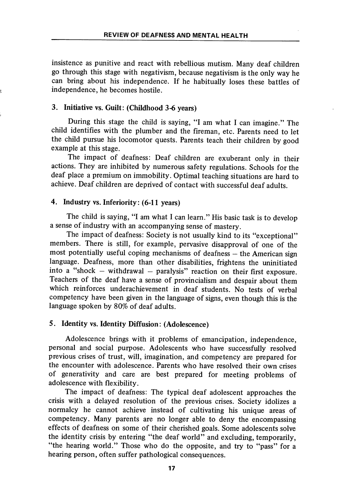insistence as punitive and react with rebellious mutism. Many deaf children go through this stage with negativism, because negativism is the only way he can bring about his independence. If he habitually loses these battles of independence, he becomes hostile.

### 3. Initiative vs. Guilt: (Childhood 3-6 years)

During this stage the child is saying, "I am what I can imagine." The child identifies with the plumber and the fireman, etc. Parents need to let the child pursue his locomotor quests. Parents teach their children by good example at this stage.

The impact of deafness: Deaf children are exuberant only in their actions. They are inhibited by numerous safety regulations. Schools for the deaf place a premium on immobility. Optimal teaching situations are hard to achieve. Deaf children are deprived of contact with successful deaf adults.

## 4. Industry vs. Inferiority: (6-11 years)

The child is saying, "I am what I can learn." His basic task is to develop a sense of industry with an accompanying sense of mastery.

The impact of deafness: Society is not usually kind to its "exceptional" members. There is still, for example, pervasive disapproval of one of the most potentially useful coping mechanisms of deafness — the American sign language. Deafness, more than other disabilities, frightens the uninitiated into a "shock  $-$  withdrawal  $-$  paralysis" reaction on their first exposure. Teachers of the deaf have a sense of provincialism and despair about them which reinforces underachievement in deaf students. No tests of verbal competency have been given in the language of signs, even though this is the language spoken by 80% of deaf adults.

## 5. Identity vs. Identity Diffusion: (Adolescence)

Adolescence brings with it problems of emancipation, independence, personal and social purpose. Adolescents who have successfully resolved previous crises of trust, will, imagination, and competency are prepared for the encounter with adolescence. Parents who have resolved their own crises of generativity and care are best prepared for meeting problems of adolescence with flexibility.

The impact of deafness: The typical deaf adolescent approaches the crisis with a delayed resolution of the previous crises. Society idolizes a normalcy he cannot achieve instead of cultivating his unique areas of competency. Many parents are no longer able to deny the encompassing effects of deafness on some of their cherished goals. Some adolescents solve the identity crisis by entering "the deaf world" and excluding, temporarily, "the hearing world." Those who do the opposite, and try to "pass" for a hearing person, often suffer pathological consequences.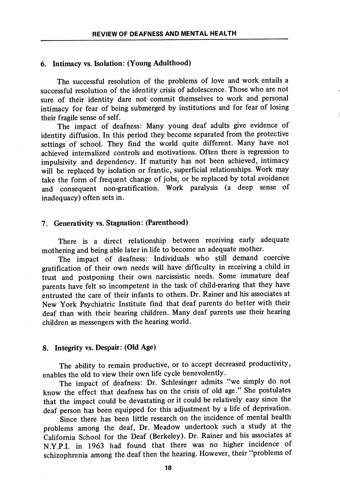#### 6. Intimacy vs. Isolation: (Young Adulthood)

The successful resolution of the problems of love and work entails a successful resolution of the identity crisis of adolescence. Those who are not sure of their identity dare not commit themselves to work and personal intimacy for fear of being submerged by institutions and for fear of losing their fragile sense of self.

The impact of deafness: Many young deaf adults give evidence of identity diffusion. In this period they become separated from the protective settings of school. They find the world quite different. Many have not achieved internalized controls and motivations. Often there is regression to impulsivity and dependency. If maturity has not been achieved, intimacy will be replaced by isolation or frantic, superficial relationships. Work may take the form of frequent change of jobs, or be replaced by total avoidance and consequent non-gratification. Work paralysis (a deep sense of inadequacy) often sets in.

# 7. Generativity vs. Stagnation: (Parenthood)

There is a direct relationship between receiving early adequate mothering and being able later in life to become an adequate mother.

The impact of deafness: Individuals who still demand coercive gratification of their own needs will have difficulty in receiving a child in trust and postponing their own narcissistic needs. Some immature deaf parents have felt so incompetent in the task of child-rearing that they have entrusted the care of their infants to others. Dr. Rainer and his associates at New York Psychiatric Institute find that deaf parents do better with their deaf than with their hearing children. Many deaf parents use their hearing children as messengers with the hearing world.

#### 8. Integrity vs. Despair: (Old Age)

The ability to remain productive, or to accept decreased productivity, enables the old to view their own life cycle benevolently.

The impact of deafness: Dr. Schlesinger admits "we simply do not know the effect that deafness has on the crisis of old age." She postulates that the impact could be devastating or it could be relatively easy since the deaf person has been equipped for this adjustment by a life of deprivation.

Since there has been little research on the incidence of mental health problems among the deaf. Dr. Meadow undertook such a study at the California School for the Deaf (Berkeley). Dr. Rainer and his associates at N.Y.P.I. in 1963 had found that there was no higher incidence of schizophrenia among the deaf then the hearing. However, their "problems of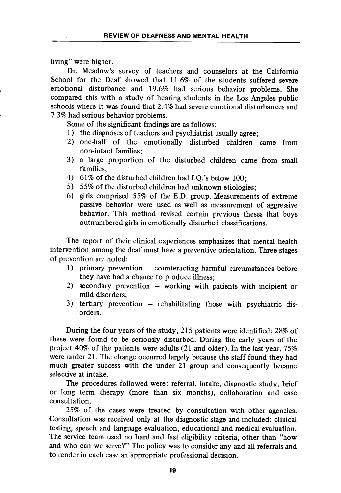living" were higher.

Dr. Meadow's survey of teachers and counselors at the California School for the Deaf showed that 11.6% of the students suffered severe emotional disturbance and 19.6% had serious behavior problems. She compared this with a study of hearing students in the Los Angeles public schools where it was found that 2.4% had severe emotional disturbances and 7.3% had serious behavior problems.

Some of the significant findings are as follows:

- 1) the diagnoses of teachers and psychiatrist usually agree;
- 2) one-half of the emotionally disturbed children came from non-intact families;
- 3) a large proportion of the disturbed children came from small families;
- 4) 61% of the disturbed children had I.Q.'s below 100;
- 5) 55% of the disturbed children had unknown etiologies;
- 6) girls comprised 55% of the E.D. group. Measurements of extreme passive behavior were used as well as measurement of aggressive behavior. This method revised certain previous theses that boys outnumbered girls in emotionally disturbed classifications.

The report of their clinical experiences emphasizes that mental health intervention among the deaf must have a preventive orientation. Three stages of prevention are noted:

- 1) primary prevention counteracting harmful circumstances before they have had a chance to produce illness;
- 2) secondary prevention  $-$  working with patients with incipient or mild disorders;
- 3) tertiary prevention rehabilitating those with psychiatric dis orders.

During the four years of the study, 215 patients were identified; 28% of these were found to be seriously disturbed. During the early years of the project 40% of the patients were adults (21 and older). In the last year, 75% were under 21. The change occurred largely because the staff found they had much greater success with the under 21 group and consequently became selective at intake.

The procedures followed were: referral, intake, diagnostic study, brief or long term therapy (more than six months), collaboration and case consultation.

25% of the cases were treated by consultation with other agencies. Consultation was received only at the diagnostic stage and included: clinical testing, speech and language evaluation, educational and medical evaluation. The service team used no hard and fast eligibility criteria, other than "how and who can we serve?" The policy was to consider any and all referrals and to render in each case an appropriate professional decision.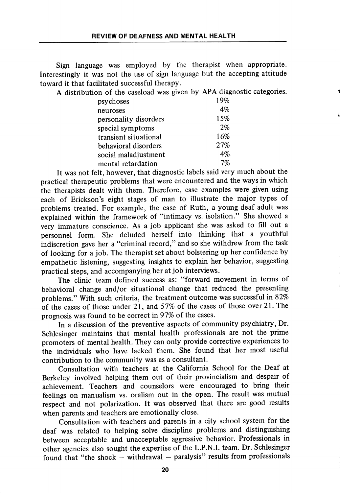Sign language was employed by the therapist when appropriate. Interestingly it was not the use of sign language but the accepting attitude toward it that facilitated successful therapy.

A distribution of the caseload was given by APA diagnostic categories,

| psychoses             | 19% |
|-----------------------|-----|
| neuroses              | 4%  |
| personality disorders | 15% |
| special symptoms      | 2%  |
| transient situational | 16% |
| behavioral disorders  | 27% |
| social maladjustment  | 4%  |
| mental retardation    | 7%  |

It was not felt, however, that diagnostic labels said very much about the practical therapeutic problems that were encountered and the ways in which the therapists dealt with them. Therefore, case examples were given using each of Erickson's eight stages of man to illustrate the major types of problems treated. For example, the case of Ruth, a young deaf adult was explained within the framework of "intimacy vs. isolation." She showed a very immature conscience. As a job applicant she was asked to fill out a personnel form. She deluded herself into thinking that a youthful indiscretion gave her a "criminal record," and so she withdrew from the task of looking for a job. The therapist set about bolstering up her confidence by empathetic listening, suggesting insights to explain her behavior, suggesting practical steps, and accompanying her at job interviews.

The clinic team defined success as: "forward movement in terms of behavioral change and/or situational change that reduced the presenting problems." With such criteria, the treatment outcome was successful in 82% of the cases of those under 21, and 57% of the cases of those over 21. The prognosis was found to be correct in 97% of the cases.

In a discussion of the preventive aspects of community psychiatry. Dr. Schlesinger maintains that mental health professionals are not the prime promoters of mental health. They can only provide corrective experiences to the individuals who have lacked them. She found that her most useful contribution to the community was as a consultant.

Consultation with teachers at the California School for the Deaf at Berkeley involved helping them out of their provincialism and despair of achievement. Teachers and counselors were encouraged to bring their feelings on manualism vs. oralism out in the open. The result was mutual respect and not polarization. It was observed that there are good results when parents and teachers are emotionally close.

Consultation with teachers and parents in a city school system for the deaf was related to helping solve discipline problems and distinguishing between acceptable and unacceptable aggressive behavior. Professionals in other agencies also sought the expertise of the L.P.N.I. team. Dr. Schlesinger found that "the shock  $-$  withdrawal  $-$  paralysis" results from professionals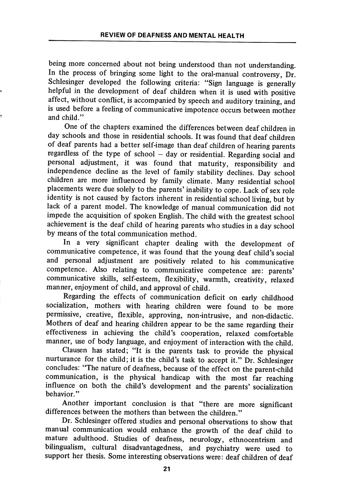being more concerned about not being understood than not understanding. In the process of bringing some light to the oral-manual controversy, Dr. Schlesinger developed the following criteria: "Sign language is generally helpful in the development of deaf children when it is used with positive affect, without conflict, is accompanied by speech and auditory training, and is used before a feeling of communicative impotence occurs between mother and child."

One of the chapters examined the differences between deaf children in day schools and those in residential schools. It was found that deaf children of deaf parents had a better self-image than deaf children of hearing parents regardless of the type of school — day or residential. Regarding social and personal adjustment, it was found that maturity, responsibility and independence decline as the level of family stability declines. Day school children are more influenced by family climate. Many residential school placements were due solely to the parents' inability to cope. Lack of sex role identity is not caused by factors inherent in residential school living, but by lack of a parent model. The knowledge of manual communication did not impede the acquisition of spoken English. The child with the greatest school achievement is the deaf child of hearing parents who studies in a day school by means of the total communication method.

In a very significant chapter dealing with the development of communicative competence, it was found that the young deaf child's social and personal adjustment are positively related to his communicative competence. Also relating to communicative competence are: parents' communicative skills, self-esteem, flexibility, warmth, creativity, relaxed manner, enjoyment of child, and approval of child.

Regarding the effects of communication deficit on early childhood socialization, mothers with hearing children were found to be more permissive, creative, flexible, approving, non-intrusive, and non-didactic. Mothers of deaf and hearing children appear to be the same regarding their effectiveness in achieving the child's cooperation, relaxed comfortable manner, use of body language, and enjoyment of interaction with the child.

Clausen has stated; "It is the parents task to provide the physical nurturance for the child; it is the child's task to accept it." Dr. Schlesinger concludes: "The nature of deafness, because of the effect on the parent-child communication, is the physical handicap with the most far reaching influence on both the child's development and the parents' socialization behavior."

Another important conclusion is that "there are more significant differences between the mothers than between the children."

Dr. Schlesinger offered studies and personal observations to show that manual communication would enhance the growth of the deaf child to mature adulthood. Studies of deafness, neurology, ethnocentrism and bilingualism, cultural disadvantagedness, and psychiatry were used to support her thesis. Some interesting observations were: deaf children of deaf